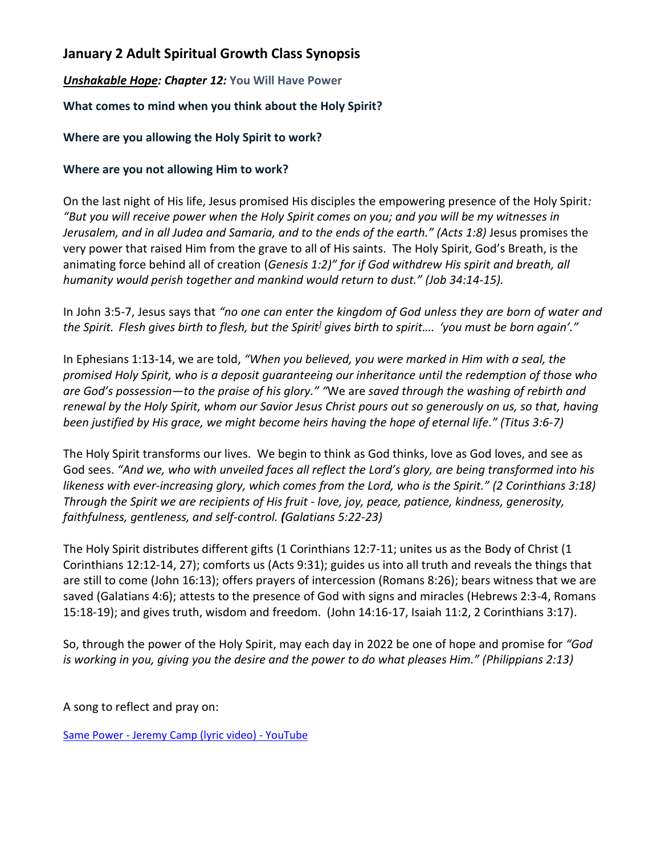# **January 2 Adult Spiritual Growth Class Synopsis**

## *Unshakable Hope: Chapter 12:* **You Will Have Power**

### **What comes to mind when you think about the Holy Spirit?**

#### **Where are you allowing the Holy Spirit to work?**

#### **Where are you not allowing Him to work?**

On the last night of His life, Jesus promised His disciples the empowering presence of the Holy Spirit*: "But you will receive power when the Holy Spirit comes on you; and you will be my witnesses in Jerusalem, and in all Judea and Samaria, and to the ends of the earth." (Acts 1:8)* Jesus promises the very power that raised Him from the grave to all of His saints. The Holy Spirit, God's Breath, is the animating force behind all of creation (*Genesis 1:2)" for if God withdrew His spirit and breath, all humanity would perish together and mankind would return to dust." (Job 34:14-15).*

In John 3:5-7, Jesus says that *"no one can enter the kingdom of God unless they are born of water and the Spirit. Flesh gives birth to flesh, but the Spirit] gives birth to spirit…. 'you must be born again'."*

In Ephesians 1:13-14, we are told, *"When you believed, you were marked in Him with a seal, the promised Holy Spirit, who is a deposit guaranteeing our inheritance until the redemption of those who are God's possession—to the praise of his glory." "*We are *saved through the washing of rebirth and renewal by the Holy Spirit, whom our Savior Jesus Christ pours out so generously on us, so that, having been justified by His grace, we might become heirs having the hope of eternal life." (Titus 3:6-7)*

The Holy Spirit transforms our lives. We begin to think as God thinks, love as God loves, and see as God sees. *"And we, who with unveiled faces all reflect the Lord's glory, are being transformed into his likeness with ever-increasing glory, which comes from the Lord, who is the Spirit." (2 Corinthians 3:18) Through the Spirit we are recipients of His fruit - love, joy, peace, patience, kindness, generosity, faithfulness, gentleness, and self-control. (Galatians 5:22-23)*

The Holy Spirit distributes different gifts (1 Corinthians 12:7-11; unites us as the Body of Christ (1 Corinthians 12:12-14, 27); comforts us (Acts 9:31); guides us into all truth and reveals the things that are still to come (John 16:13); offers prayers of intercession (Romans 8:26); bears witness that we are saved (Galatians 4:6); attests to the presence of God with signs and miracles (Hebrews 2:3-4, Romans 15:18-19); and gives truth, wisdom and freedom. (John 14:16-17, Isaiah 11:2, 2 Corinthians 3:17).

So, through the power of the Holy Spirit, may each day in 2022 be one of hope and promise for *"God is working in you, giving you the desire and the power to do what pleases Him." (Philippians 2:13)*

A song to reflect and pray on:

Same Power - [Jeremy Camp \(lyric video\) -](https://www.youtube.com/watch?v=izM8Ituxk0s&list=RDizM8Ituxk0s&start_radio=1) YouTube